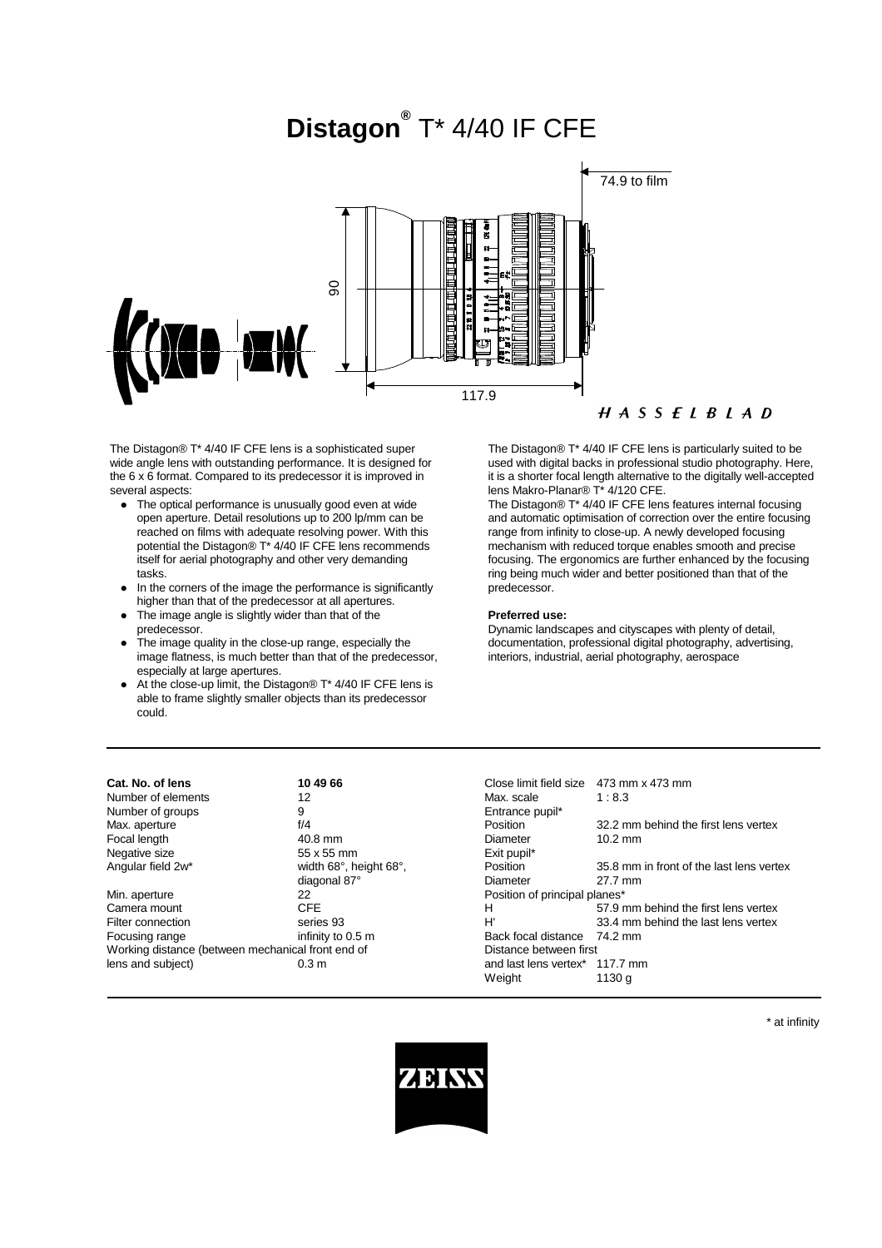# **Distagon®** T\* 4/40 IF CFE



 $H A S S F I B I A D$ 

The Distagon® T\* 4/40 IF CFE lens is a sophisticated super wide angle lens with outstanding performance. It is designed for the 6 x 6 format. Compared to its predecessor it is improved in several aspects:

- The optical performance is unusually good even at wide open aperture. Detail resolutions up to 200 lp/mm can be reached on films with adequate resolving power. With this potential the Distagon® T<sup>\*</sup> 4/40 IF CFE lens recommends itself for aerial photography and other very demanding tasks.
- In the corners of the image the performance is significantly higher than that of the predecessor at all apertures.
- The image angle is slightly wider than that of the predecessor.
- l The image quality in the close-up range, especially the image flatness, is much better than that of the predecessor, especially at large apertures.
- At the close-up limit, the Distagon®  $T^*$  4/40 IF CFE lens is able to frame slightly smaller objects than its predecessor could.

The Distagon® T\* 4/40 IF CFE lens is particularly suited to be used with digital backs in professional studio photography. Here, it is a shorter focal length alternative to the digitally well-accepted lens Makro-Planar® T\* 4/120 CFE.

The Distagon® T\* 4/40 IF CFE lens features internal focusing and automatic optimisation of correction over the entire focusing range from infinity to close-up. A newly developed focusing mechanism with reduced torque enables smooth and precise focusing. The ergonomics are further enhanced by the focusing ring being much wider and better positioned than that of the predecessor.

#### **Preferred use:**

Dynamic landscapes and cityscapes with plenty of detail, documentation, professional digital photography, advertising, interiors, industrial, aerial photography, aerospace

| Cat. No. of lens                                  | 10 49 66               | Close limit field size                     | 473 mm x 473 mm                          |
|---------------------------------------------------|------------------------|--------------------------------------------|------------------------------------------|
| Number of elements                                | 12                     | Max. scale                                 | 1:8.3                                    |
| Number of groups                                  | 9                      | Entrance pupil*                            |                                          |
| Max. aperture                                     | f/4                    | Position                                   | 32.2 mm behind the first lens vertex     |
| Focal length                                      | $40.8$ mm              | Diameter                                   | $10.2 \text{ mm}$                        |
| Negative size                                     | 55 x 55 mm             | Exit pupil*                                |                                          |
| Angular field 2w*                                 | width 68°, height 68°, | Position                                   | 35.8 mm in front of the last lens vertex |
|                                                   | diagonal 87°           | Diameter                                   | 27.7 mm                                  |
| Min. aperture                                     | 22                     | Position of principal planes*              |                                          |
| Camera mount                                      | <b>CFE</b>             | н                                          | 57.9 mm behind the first lens vertex     |
| Filter connection                                 | series 93              | H'                                         | 33.4 mm behind the last lens vertex      |
| Focusing range                                    | infinity to 0.5 m      | Back focal distance                        | 74.2 mm                                  |
| Working distance (between mechanical front end of |                        | Distance between first                     |                                          |
| lens and subject)                                 | 0.3 <sub>m</sub>       | and last lens vertex <sup>*</sup> 117.7 mm |                                          |
|                                                   |                        | Weight                                     | 1130 a                                   |

\* at infinity